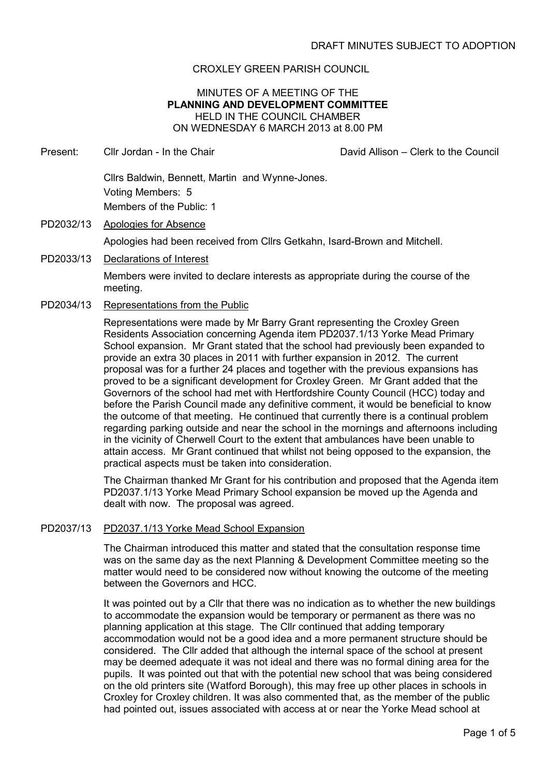## CROXLEY GREEN PARISH COUNCIL

## MINUTES OF A MEETING OF THE **PLANNING AND DEVELOPMENT COMMITTEE** HELD IN THE COUNCIL CHAMBER ON WEDNESDAY 6 MARCH 2013 at 8.00 PM

- Present: Cllr Jordan In the Chair David Allison Clerk to the Council Cllrs Baldwin, Bennett, Martin and Wynne-Jones. Voting Members: 5 Members of the Public: 1 PD2032/13 Apologies for Absence Apologies had been received from Cllrs Getkahn, Isard-Brown and Mitchell.
- PD2033/13 Declarations of Interest

Members were invited to declare interests as appropriate during the course of the meeting.

PD2034/13 Representations from the Public

Representations were made by Mr Barry Grant representing the Croxley Green Residents Association concerning Agenda item PD2037.1/13 Yorke Mead Primary School expansion. Mr Grant stated that the school had previously been expanded to provide an extra 30 places in 2011 with further expansion in 2012. The current proposal was for a further 24 places and together with the previous expansions has proved to be a significant development for Croxley Green. Mr Grant added that the Governors of the school had met with Hertfordshire County Council (HCC) today and before the Parish Council made any definitive comment, it would be beneficial to know the outcome of that meeting. He continued that currently there is a continual problem regarding parking outside and near the school in the mornings and afternoons including in the vicinity of Cherwell Court to the extent that ambulances have been unable to attain access. Mr Grant continued that whilst not being opposed to the expansion, the practical aspects must be taken into consideration.

 The Chairman thanked Mr Grant for his contribution and proposed that the Agenda item PD2037.1/13 Yorke Mead Primary School expansion be moved up the Agenda and dealt with now. The proposal was agreed.

#### PD2037/13 PD2037.1/13 Yorke Mead School Expansion

The Chairman introduced this matter and stated that the consultation response time was on the same day as the next Planning & Development Committee meeting so the matter would need to be considered now without knowing the outcome of the meeting between the Governors and HCC.

It was pointed out by a Cllr that there was no indication as to whether the new buildings to accommodate the expansion would be temporary or permanent as there was no planning application at this stage. The Cllr continued that adding temporary accommodation would not be a good idea and a more permanent structure should be considered. The Cllr added that although the internal space of the school at present may be deemed adequate it was not ideal and there was no formal dining area for the pupils. It was pointed out that with the potential new school that was being considered on the old printers site (Watford Borough), this may free up other places in schools in Croxley for Croxley children. It was also commented that, as the member of the public had pointed out, issues associated with access at or near the Yorke Mead school at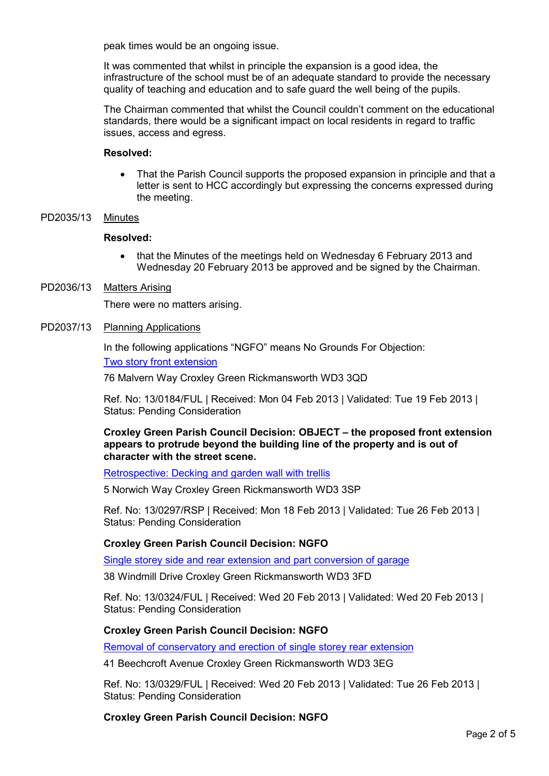peak times would be an ongoing issue.

It was commented that whilst in principle the expansion is a good idea, the infrastructure of the school must be of an adequate standard to provide the necessary quality of teaching and education and to safe guard the well being of the pupils.

The Chairman commented that whilst the Council couldn't comment on the educational standards, there would be a significant impact on local residents in regard to traffic issues, access and egress.

#### **Resolved:**

• That the Parish Council supports the proposed expansion in principle and that a letter is sent to HCC accordingly but expressing the concerns expressed during the meeting.

## PD2035/13 Minutes

#### **Resolved:**

• that the Minutes of the meetings held on Wednesday 6 February 2013 and Wednesday 20 February 2013 be approved and be signed by the Chairman.

## PD2036/13 Matters Arising

There were no matters arising.

#### PD2037/13 Planning Applications

In the following applications "NGFO" means No Grounds For Objection:

Two story front extension

76 Malvern Way Croxley Green Rickmansworth WD3 3QD

Ref. No: 13/0184/FUL | Received: Mon 04 Feb 2013 | Validated: Tue 19 Feb 2013 | Status: Pending Consideration

**Croxley Green Parish Council Decision: OBJECT – the proposed front extension appears to protrude beyond the building line of the property and is out of character with the street scene.**

Retrospective: Decking and garden wall with trellis

5 Norwich Way Croxley Green Rickmansworth WD3 3SP

Ref. No: 13/0297/RSP | Received: Mon 18 Feb 2013 | Validated: Tue 26 Feb 2013 | Status: Pending Consideration

## **Croxley Green Parish Council Decision: NGFO**

Single storey side and rear extension and part conversion of garage

38 Windmill Drive Croxley Green Rickmansworth WD3 3FD

Ref. No: 13/0324/FUL | Received: Wed 20 Feb 2013 | Validated: Wed 20 Feb 2013 | Status: Pending Consideration

## **Croxley Green Parish Council Decision: NGFO**

Removal of conservatory and erection of single storey rear extension

41 Beechcroft Avenue Croxley Green Rickmansworth WD3 3EG

Ref. No: 13/0329/FUL | Received: Wed 20 Feb 2013 | Validated: Tue 26 Feb 2013 | Status: Pending Consideration

**Croxley Green Parish Council Decision: NGFO**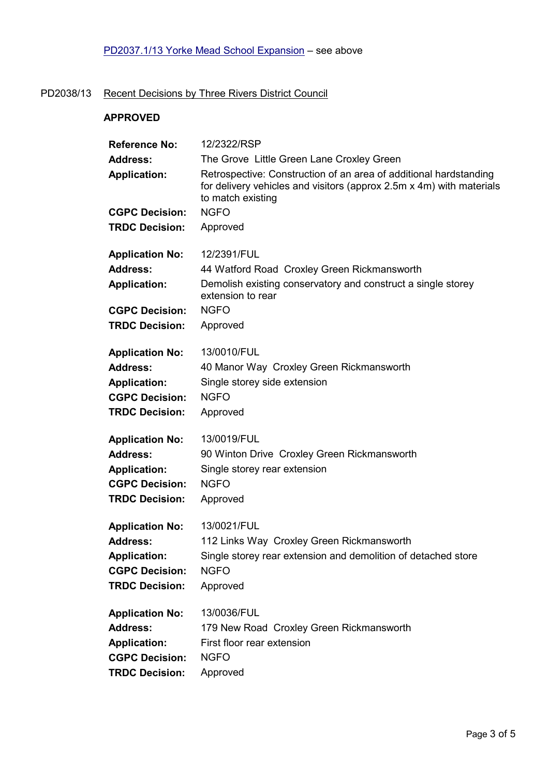# PD2038/13 Recent Decisions by Three Rivers District Council

## **APPROVED**

| <b>Reference No:</b>                   | 12/2322/RSP                                                                                                                                                            |
|----------------------------------------|------------------------------------------------------------------------------------------------------------------------------------------------------------------------|
| <b>Address:</b>                        | The Grove Little Green Lane Croxley Green                                                                                                                              |
| <b>Application:</b>                    | Retrospective: Construction of an area of additional hardstanding<br>for delivery vehicles and visitors (approx $2.5m \times 4m$ ) with materials<br>to match existing |
| <b>CGPC Decision:</b>                  | <b>NGFO</b>                                                                                                                                                            |
| <b>TRDC Decision:</b>                  | Approved                                                                                                                                                               |
| <b>Application No:</b>                 | 12/2391/FUL                                                                                                                                                            |
| <b>Address:</b><br><b>Application:</b> | 44 Watford Road Croxley Green Rickmansworth<br>Demolish existing conservatory and construct a single storey<br>extension to rear                                       |
| <b>CGPC Decision:</b>                  | <b>NGFO</b>                                                                                                                                                            |
| <b>TRDC Decision:</b>                  | Approved                                                                                                                                                               |
| <b>Application No:</b>                 | 13/0010/FUL                                                                                                                                                            |
| <b>Address:</b>                        | 40 Manor Way Croxley Green Rickmansworth                                                                                                                               |
| <b>Application:</b>                    | Single storey side extension                                                                                                                                           |
| <b>CGPC Decision:</b>                  | <b>NGFO</b>                                                                                                                                                            |
| <b>TRDC Decision:</b>                  | Approved                                                                                                                                                               |
| <b>Application No:</b>                 | 13/0019/FUL                                                                                                                                                            |
| <b>Address:</b>                        | 90 Winton Drive Croxley Green Rickmansworth                                                                                                                            |
| <b>Application:</b>                    | Single storey rear extension                                                                                                                                           |
| <b>CGPC Decision:</b>                  | <b>NGFO</b>                                                                                                                                                            |
| <b>TRDC Decision:</b>                  | Approved                                                                                                                                                               |
| <b>Application No:</b>                 | 13/0021/FUL                                                                                                                                                            |
| <b>Address:</b>                        | 112 Links Way Croxley Green Rickmansworth                                                                                                                              |
| <b>Application:</b>                    | Single storey rear extension and demolition of detached store                                                                                                          |
| <b>CGPC Decision:</b>                  | <b>NGFO</b>                                                                                                                                                            |
| <b>TRDC Decision:</b>                  | Approved                                                                                                                                                               |
| <b>Application No:</b>                 | 13/0036/FUL                                                                                                                                                            |
| <b>Address:</b>                        | 179 New Road Croxley Green Rickmansworth                                                                                                                               |
| <b>Application:</b>                    | First floor rear extension                                                                                                                                             |
| <b>CGPC Decision:</b>                  | <b>NGFO</b>                                                                                                                                                            |
| <b>TRDC Decision:</b>                  | Approved                                                                                                                                                               |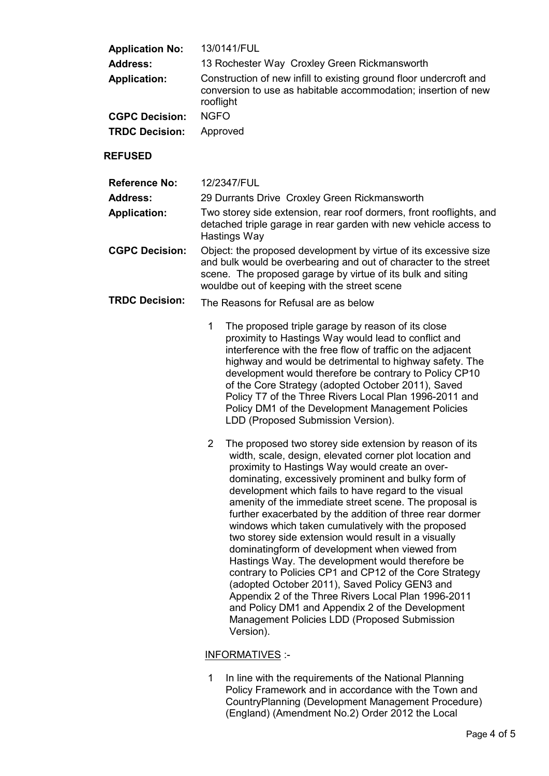| <b>Application No:</b><br><b>Address:</b><br><b>Application:</b><br><b>CGPC Decision:</b><br><b>TRDC Decision:</b> | 13/0141/FUL<br>13 Rochester Way Croxley Green Rickmansworth<br>Construction of new infill to existing ground floor undercroft and<br>conversion to use as habitable accommodation; insertion of new<br>rooflight<br><b>NGFO</b><br>Approved                                                                                                                                                                                                                                                                                                                                                                                                                                                                                                                                                                                                                                                                                                                                                                                                                                                                                                                                                                                                                                                                                                                                                                                                               |
|--------------------------------------------------------------------------------------------------------------------|-----------------------------------------------------------------------------------------------------------------------------------------------------------------------------------------------------------------------------------------------------------------------------------------------------------------------------------------------------------------------------------------------------------------------------------------------------------------------------------------------------------------------------------------------------------------------------------------------------------------------------------------------------------------------------------------------------------------------------------------------------------------------------------------------------------------------------------------------------------------------------------------------------------------------------------------------------------------------------------------------------------------------------------------------------------------------------------------------------------------------------------------------------------------------------------------------------------------------------------------------------------------------------------------------------------------------------------------------------------------------------------------------------------------------------------------------------------|
| <b>REFUSED</b>                                                                                                     |                                                                                                                                                                                                                                                                                                                                                                                                                                                                                                                                                                                                                                                                                                                                                                                                                                                                                                                                                                                                                                                                                                                                                                                                                                                                                                                                                                                                                                                           |
| <b>Reference No:</b><br><b>Address:</b><br><b>Application:</b><br><b>CGPC Decision:</b><br><b>TRDC Decision:</b>   | 12/2347/FUL<br>29 Durrants Drive Croxley Green Rickmansworth<br>Two storey side extension, rear roof dormers, front rooflights, and<br>detached triple garage in rear garden with new vehicle access to<br>Hastings Way<br>Object: the proposed development by virtue of its excessive size<br>and bulk would be overbearing and out of character to the street<br>scene. The proposed garage by virtue of its bulk and siting<br>wouldbe out of keeping with the street scene<br>The Reasons for Refusal are as below<br>1<br>The proposed triple garage by reason of its close<br>proximity to Hastings Way would lead to conflict and<br>interference with the free flow of traffic on the adjacent<br>highway and would be detrimental to highway safety. The<br>development would therefore be contrary to Policy CP10<br>of the Core Strategy (adopted October 2011), Saved<br>Policy T7 of the Three Rivers Local Plan 1996-2011 and<br>Policy DM1 of the Development Management Policies<br>LDD (Proposed Submission Version).<br>2<br>The proposed two storey side extension by reason of its<br>width, scale, design, elevated corner plot location and<br>proximity to Hastings Way would create an over-<br>dominating, excessively prominent and bulky form of<br>development which fails to have regard to the visual<br>amenity of the immediate street scene. The proposal is<br>further exacerbated by the addition of three rear dormer |
|                                                                                                                    | windows which taken cumulatively with the proposed<br>two storey side extension would result in a visually<br>dominatingform of development when viewed from<br>Hastings Way. The development would therefore be<br>contrary to Policies CP1 and CP12 of the Core Strategy<br>(adopted October 2011), Saved Policy GEN3 and<br>Appendix 2 of the Three Rivers Local Plan 1996-2011<br>and Policy DM1 and Appendix 2 of the Development<br>Management Policies LDD (Proposed Submission<br>Version).                                                                                                                                                                                                                                                                                                                                                                                                                                                                                                                                                                                                                                                                                                                                                                                                                                                                                                                                                       |

## INFORMATIVES :-

1 In line with the requirements of the National Planning Policy Framework and in accordance with the Town and CountryPlanning (Development Management Procedure) (England) (Amendment No.2) Order 2012 the Local